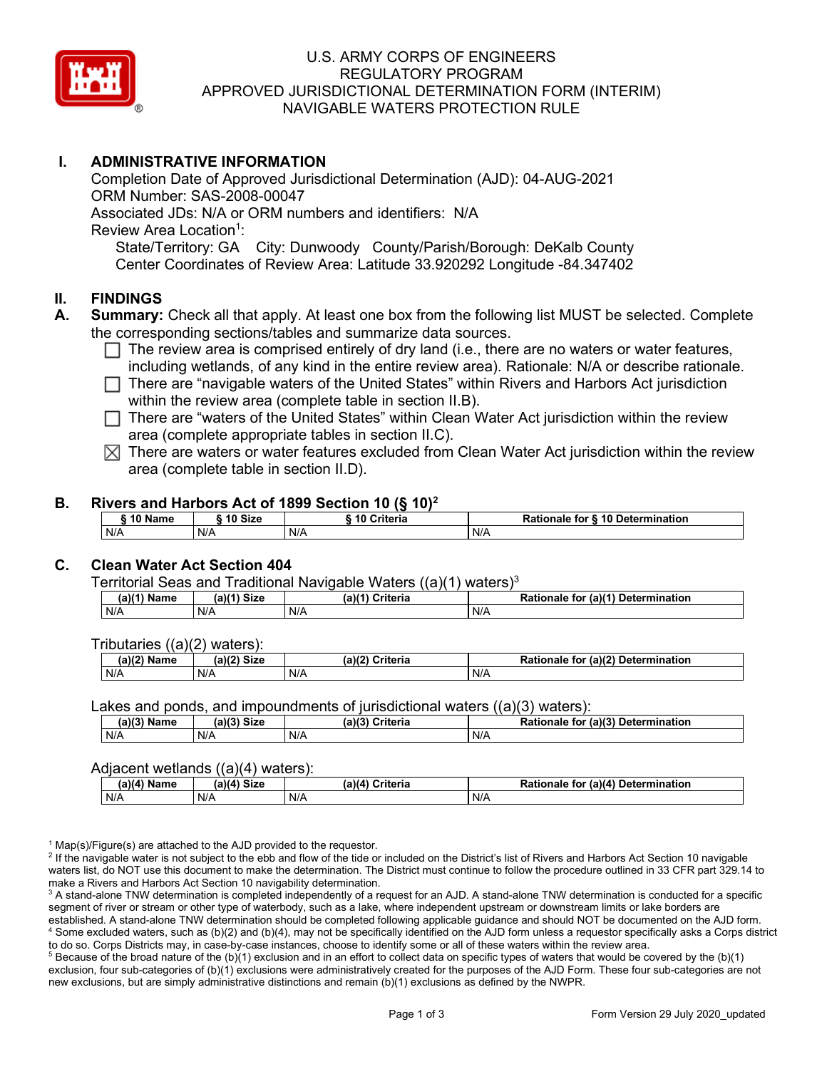

### U.S. ARMY CORPS OF ENGINEERS REGULATORY PROGRAM APPROVED JURISDICTIONAL DETERMINATION FORM (INTERIM) NAVIGABLE WATERS PROTECTION RULE

## **I. ADMINISTRATIVE INFORMATION**

 State/Territory: GA City: Dunwoody County/Parish/Borough: DeKalb County Completion Date of Approved Jurisdictional Determination (AJD): 04-AUG-2021 ORM Number: SAS-2008-00047 Associated JDs: N/A or ORM numbers and identifiers: N/A Review Area Location<sup>1</sup>: Center Coordinates of Review Area: Latitude 33.920292 Longitude -84.347402

#### **II. FINDINGS**

- **A. Summary:** Check all that apply. At least one box from the following list MUST be selected. Complete the corresponding sections/tables and summarize data sources.
	- $\Box$  The review area is comprised entirely of dry land (i.e., there are no waters or water features, including wetlands, of any kind in the entire review area). Detianals  $M/\sqrt{a}$  at describe rationals including wetlands, of any kind in the entire review area). Rationale: N/A or describe rationale.
	- □ There are "navigable waters of the United States" within Rivers and Harbors Act jurisdiction<br>within the review area (complete table in eastion ILB) within the review area (complete table in section II.B).
	- □ There are "waters of the United States" within Clean Water Act jurisdiction within the review<br>
	area (complete appropriate tables in costion II G) area (complete appropriate tables in section II.C).
	- $\boxtimes$  There are waters or water features excluded from Clean Water Act jurisdiction within the review area (complete table in section II.D).

#### **B. Rivers and Harbors Act of 1899 Section 10 (§ 10)2**

| <b><i>AA</i> AI</b><br>Name | 10 Size | <b>Criteria</b><br>ı L | ↑ for <b>§ 10 Determination</b><br>Rationale |
|-----------------------------|---------|------------------------|----------------------------------------------|
| N/A                         | N/A     | N/A                    | N/A                                          |

### **C. Clean Water Act Section 404**

Territorial Seas and Traditional Navigable Waters  $((a)(1)$  waters)<sup>3</sup>

| Name | $M41$ Circ | 3143          | for $(a)(1)$  |
|------|------------|---------------|---------------|
| ۱۵ م | ær         | $\sim$ $\sim$ | Determination |
| la I | จเ∠ь       | ;riteria      | Rationale     |
| N/A  | N/A        | N/A           | N/A           |

Tributaries ((a)(2) waters):

| (2)<br>Name | $\sim$ Circ $\sim$<br>$\sim$ $\sim$<br>JIZU<br>υ. | ेriteria<br>$\overline{\phantom{a}}$<br>ເaນເ | (a)(2)<br><b>Determination</b><br>Pationale .<br>tor |
|-------------|---------------------------------------------------|----------------------------------------------|------------------------------------------------------|
| N/A         | N/A                                               | N/A                                          | N/A                                                  |

Lakes and ponds, and impoundments of jurisdictional waters ((a)(3) waters):

| $(a)(3)$ $^{\prime\prime}$ | $(a)(3)$ Size | (a)(?')  | for (a)(3) Determination |
|----------------------------|---------------|----------|--------------------------|
| Name                       |               | Criteria | Rationale                |
| N/A                        | N/A           | N/A      | N/A                      |

#### Adjacent wetlands ((a)(4) waters):

| . .<br>(a)(a)<br>Name | <b>Size</b><br>(a)(4) | (a)(4)<br>Criteria | (a)(4)<br>Determination<br>for<br>nale 1 |
|-----------------------|-----------------------|--------------------|------------------------------------------|
| N/A                   | N/A                   | N/A                | N/A                                      |

 $1$  Map(s)/Figure(s) are attached to the AJD provided to the requestor.

<sup>2</sup> If the navigable water is not subject to the ebb and flow of the tide or included on the District's list of Rivers and Harbors Act Section 10 navigable waters list, do NOT use this document to make the determination. The District must continue to follow the procedure outlined in 33 CFR part 329.14 to make a Rivers and Harbors Act Section 10 navigability determination.

make a Rivers and Harbors Act Section 10 navigability determination.<br><sup>3</sup> A stand-alone TNW determination is completed independently of a request for an AJD. A stand-alone TNW determination is conducted for a specific established. A stand-alone TNW determination should be completed following applicable guidance and should NOT be documented on the AJD form.<br><sup>4</sup> Some excluded waters, such as (b)(2) and (b)(4), may not be specifically iden to do so. Corps Districts may, in case-by-case instances, choose to identify some or all of these waters within the review area. segment of river or stream or other type of waterbody, such as a lake, where independent upstream or downstream limits or lake borders are<br>established. A stand-alone TNW determination should be completed following applicab

<sup>5</sup> Because of the broad nature of the (b)(1) exclusion and in an effort to collect data on specific types of waters that would be covered by the (b)(1) exclusion, four sub-categories of (b)(1) exclusions were administratively created for the purposes of the AJD Form. These four sub-categories are not new exclusions, but are simply administrative distinctions and remain (b)(1) exclusions as defined by the NWPR.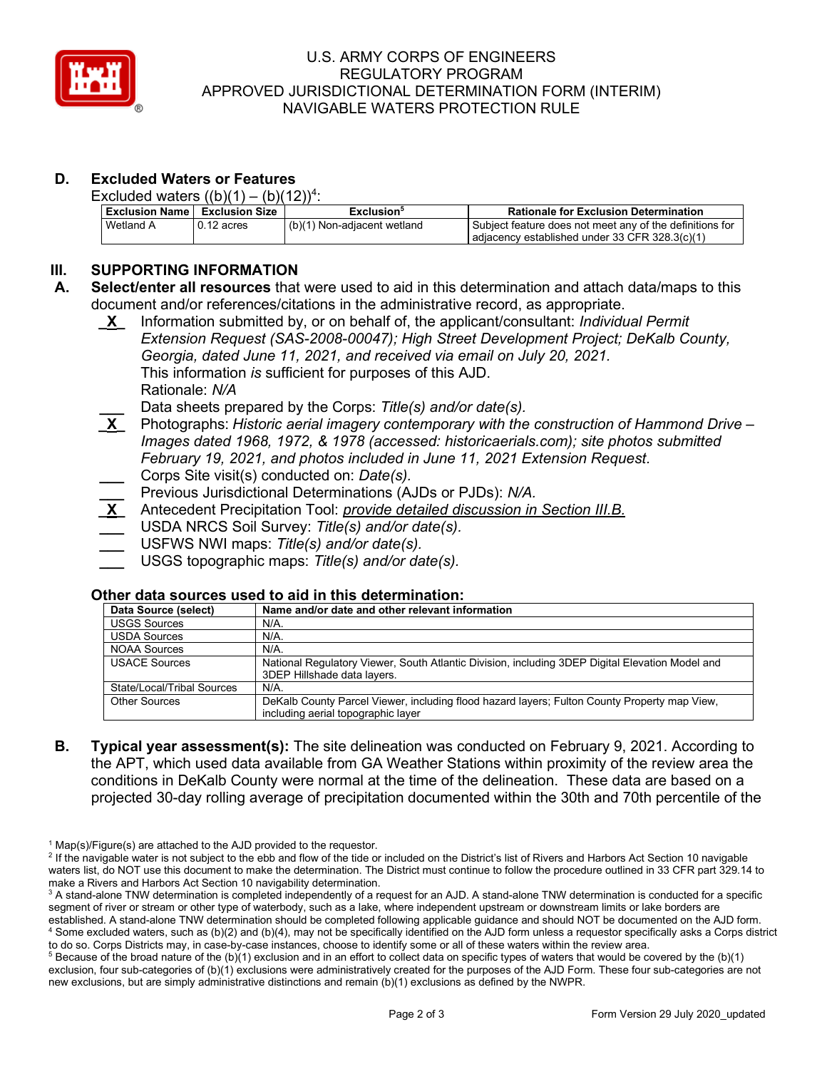

### U.S. ARMY CORPS OF ENGINEERS REGULATORY PROGRAM APPROVED JURISDICTIONAL DETERMINATION FORM (INTERIM) NAVIGABLE WATERS PROTECTION RULE

# **D. Excluded Waters or Features**

Excluded waters  $((b)(1) - (b)(12))^4$ :

| l Exclusion Name丨 Exclusion Size |              | Exclusion <sup>5</sup>      | <b>Rationale for Exclusion Determination</b>                                                                 |
|----------------------------------|--------------|-----------------------------|--------------------------------------------------------------------------------------------------------------|
| Wetland A                        | $0.12$ acres | (b)(1) Non-adjacent wetland | l Subiect feature does not meet anv of the definitions for<br>adjacency established under 33 CFR 328.3(c)(1) |

## **III. SUPPORTING INFORMATION**

- **A. Select/enter all resources** that were used to aid in this determination and attach data/maps to this document and/or references/citations in the administrative record, as appropriate.
	- This information *is* sufficient for purposes of this AJD. **\_X\_** Information submitted by, or on behalf of, the applicant/consultant: *Individual Permit Extension Request (SAS-2008-00047); High Street Development Project; DeKalb County, Georgia, dated June 11, 2021, and received via email on July 20, 2021.*  Rationale: *N/A*
	- **Lata sheets prepared by the Corps: Title(s) and/or date(s). X** Photographs: *Historic aerial imagery contemporary with the*
	- **\_X\_** Photographs: *Historic aerial imagery contemporary with the construction of Hammond Drive Images dated 1968, 1972, & 1978 (accessed: [historicaerials.com](https://historicaerials.com)); site photos submitted February 19, 2021, and photos included in June 11, 2021 Extension Request.*  **\_\_\_** Corps Site visit(s) conducted on: *Date(s).*
	- **\_\_\_** Previous Jurisdictional Determinations (AJDs or PJDs): *N/A.*
	- **\_X\_** Antecedent Precipitation Tool: *provide detailed discussion in Section III.B.*
	- **\_\_\_** USDA NRCS Soil Survey: *Title(s) and/or date(s).*
	- **\_\_\_** USFWS NWI maps: *Title(s) and/or date(s).*
	- **\_\_\_** USGS topographic maps: *Title(s) and/or date(s).*

#### **Other data sources used to aid in this determination:**

| Data Source (select)       | Name and/or date and other relevant information                                                 |
|----------------------------|-------------------------------------------------------------------------------------------------|
| <b>USGS Sources</b>        | $N/A$ .                                                                                         |
| <b>USDA Sources</b>        | $N/A$ .                                                                                         |
| <b>NOAA Sources</b>        | $N/A$ .                                                                                         |
| <b>USACE Sources</b>       | National Regulatory Viewer, South Atlantic Division, including 3DEP Digital Elevation Model and |
|                            | 3DEP Hillshade data layers.                                                                     |
| State/Local/Tribal Sources | $N/A$ .                                                                                         |
| <b>Other Sources</b>       | DeKalb County Parcel Viewer, including flood hazard layers; Fulton County Property map View,    |
|                            | including aerial topographic layer                                                              |

 the APT, which used data available from GA Weather Stations within proximity of the review area the **B. Typical year assessment(s):** The site delineation was conducted on February 9, 2021. According to conditions in DeKalb County were normal at the time of the delineation. These data are based on a projected 30-day rolling average of precipitation documented within the 30th and 70th percentile of the

 $1$  Map(s)/Figure(s) are attached to the AJD provided to the requestor.

<sup>&</sup>lt;sup>2</sup> If the navigable water is not subject to the ebb and flow of the tide or included on the District's list of Rivers and Harbors Act Section 10 navigable waters list, do NOT use this document to make the determination. The District must continue to follow the procedure outlined in 33 CFR part 329.14 to make a Rivers and Harbors Act Section 10 navigability determination.

make a Rivers and Harbors Act Section 10 navigability determination.<br><sup>3</sup> A stand-alone TNW determination is completed independently of a request for an AJD. A stand-alone TNW determination is conducted for a specific established. A stand-alone TNW determination should be completed following applicable guidance and should NOT be documented on the AJD form.<br><sup>4</sup> Some excluded waters, such as (b)(2) and (b)(4), may not be specifically iden to do so. Corps Districts may, in case-by-case instances, choose to identify some or all of these waters within the review area. segment of river or stream or other type of waterbody, such as a lake, where independent upstream or downstream limits or lake borders are<br>established. A stand-alone TNW determination should be completed following applicab

 $5$  Because of the broad nature of the (b)(1) exclusion and in an effort to collect data on specific types of waters that would be covered by the (b)(1) exclusion, four sub-categories of (b)(1) exclusions were administratively created for the purposes of the AJD Form. These four sub-categories are not new exclusions, but are simply administrative distinctions and remain (b)(1) exclusions as defined by the NWPR.